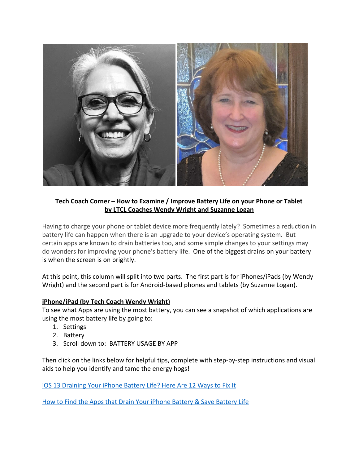

## **Tech Coach Corner – How to Examine / Improve Battery Life on your Phone or Tablet by LTCL Coaches Wendy Wright and Suzanne Logan**

Having to charge your phone or tablet device more frequently lately? Sometimes a reduction in battery life can happen when there is an upgrade to your device's operating system. But certain apps are known to drain batteries too, and some simple changes to your settings may do wonders for improving your phone's battery life. One of the biggest drains on your battery is when the screen is on brightly.

At this point, this column will split into two parts. The first part is for iPhones/iPads (by Wendy Wright) and the second part is for Android-based phones and tablets (by Suzanne Logan).

## **iPhone/iPad (by Tech Coach Wendy Wright)**

To see what Apps are using the most battery, you can see a snapshot of which applications are using the most battery life by going to:

- 1. Settings
- 2. Battery
- 3. Scroll down to: BATTERY USAGE BY APP

Then click on the links below for helpful tips, complete with step-by-step instructions and visual aids to help you identify and tame the energy hogs!

[iOS 13 Draining Your iPhone Battery Life? Here Are 12 Ways to Fix It](https://www.iphonelife.com/content/how-to-fix-battery-drain-ios-10-iphone-10-tips-longer-battery-life)

[How to Find the Apps that Drain Your iPhone Battery & Save Battery Life](https://www.iphonelife.com/content/these-popular-apps-are-draining-your-iphone-battery-heres-how-to-stop-them)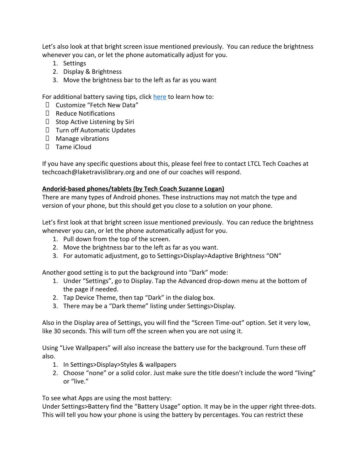Let's also look at that bright screen issue mentioned previously. You can reduce the brightness whenever you can, or let the phone automatically adjust for you.

- 1. Settings
- 2. Display & Brightness
- 3. Move the brightness bar to the left as far as you want

For additional battery saving tips, click [here](https://www.pcmag.com/how-to/how-to-save-battery-life-on-your-iphone) to learn how to:

- Customize "Fetch New Data"
- $\Box$  Reduce Notifications
- $\Box$  Stop Active Listening by Siri
- Turn off Automatic Updates
- $\Box$  Manage vibrations
- $\Box$  Tame iCloud

If you have any specific questions about this, please feel free to contact LTCL Tech Coaches at techcoach@laketravislibrary.org and one of our coaches will respond.

## **Andorid-based phones/tablets (by Tech Coach Suzanne Logan)**

There are many types of Android phones. These instructions may not match the type and version of your phone, but this should get you close to a solution on your phone.

Let's first look at that bright screen issue mentioned previously. You can reduce the brightness whenever you can, or let the phone automatically adjust for you.

- 1. Pull down from the top of the screen.
- 2. Move the brightness bar to the left as far as you want.
- 3. For automatic adjustment, go to Settings>Display>Adaptive Brightness "ON"

Another good setting is to put the background into "Dark" mode:

- 1. Under "Settings", go to Display. Tap the Advanced drop-down menu at the bottom of the page if needed.
- 2. Tap Device Theme, then tap "Dark" in the dialog box.
- 3. There may be a "Dark theme" listing under Settings>Display.

Also in the Display area of Settings, you will find the "Screen Time-out" option. Set it very low, like 30 seconds. This will turn off the screen when you are not using it.

Using "Live Wallpapers" will also increase the battery use for the background. Turn these off also.

- 1. In Settings>Display>Styles & wallpapers
- 2. Choose "none" or a solid color. Just make sure the title doesn't include the word "living" or "live."

To see what Apps are using the most battery:

Under Settings>Battery find the "Battery Usage" option. It may be in the upper right three-dots. This will tell you how your phone is using the battery by percentages. You can restrict these